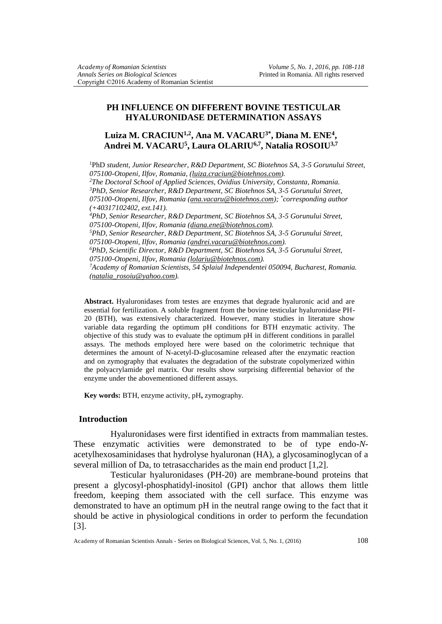## **PH INFLUENCE ON DIFFERENT BOVINE TESTICULAR HYALURONIDASE DETERMINATION ASSAYS**

# **Luiza M. CRACIUN1,2 , Ana M. VACARU3\* , Diana M. ENE<sup>4</sup> , Andrei M. VACARU<sup>5</sup> , Laura OLARIU6,7, Natalia ROSOIU3,7**

<sup>1</sup>PhD *student, Junior Researcher, R&D Department, SC Biotehnos SA, 3-5 Gorunului Street, 075100-Otopeni, Ilfov, Romania, [\(luiza.craciun@biotehnos.com\)](mailto:luiza.craciun@biotehnos.com). <sup>2</sup>The Doctoral School of Applied Sciences, Ovidius University, Constanta, Romania. <sup>3</sup>PhD, Senior Researcher, R&D Department, SC Biotehnos SA, 3-5 Gorunului Street, 075100-Otopeni, Ilfov, Romania [\(ana.vacaru@biotehnos.com\)](mailto:ana.vacaru@biotehnos.com); \* corresponding author (+40317102402, ext.141). <sup>4</sup>PhD, Senior Researcher, R&D Department, SC Biotehnos SA, 3-5 Gorunului Street, 075100-Otopeni, Ilfov, Romania [\(diana.ene@biotehnos.com\)](mailto:diana.ene@biotehnos.com). <sup>5</sup>PhD, Senior Researcher, R&D Department, SC Biotehnos SA, 3-5 Gorunului Street, 075100-Otopeni, Ilfov, Romania [\(andrei.vacaru@biotehnos.com\)](mailto:andrei.vacaru@biotehnos.com). <sup>6</sup>PhD, Scientific Director, R&D Department, SC Biotehnos SA, 3-5 Gorunului Street, 075100-Otopeni, Ilfov, Romania [\(lolariu@biotehnos.com\)](mailto:lolariu@biotehnos.com). <sup>7</sup>Academy of Romanian Scientists, 54 Splaiul Independentei 050094, Bucharest, Romania. [\(natalia\\_rosoiu@yahoo.com\)](mailto:natalia_rosoiu@yahoo.com).*

**Abstract.** Hyaluronidases from testes are enzymes that degrade hyaluronic acid and are essential for fertilization. A soluble fragment from the bovine testicular hyaluronidase PH-20 (BTH), was extensively characterized. However, many studies in literature show variable data regarding the optimum pH conditions for BTH enzymatic activity. The objective of this study was to evaluate the optimum pH in different conditions in parallel assays. The methods employed here were based on the colorimetric technique that determines the amount of N-acetyl-D-glucosamine released after the enzymatic reaction and on zymography that evaluates the degradation of the substrate copolymerized within the polyacrylamide gel matrix. Our results show surprising differential behavior of the enzyme under the abovementioned different assays.

**Key words:** BTH, enzyme activity, pH**,** zymography.

### **Introduction**

Hyaluronidases were first identified in extracts from mammalian testes. These enzymatic activities were demonstrated to be of type endo-*N*acetylhexosaminidases that hydrolyse hyaluronan (HA), a glycosaminoglycan of a several million of Da, to tetrasaccharides as the main end product [1,2].

Testicular hyaluronidases (PH-20) are membrane-bound proteins that present a glycosyl-phosphatidyl-inositol (GPI) anchor that allows them little freedom, keeping them associated with the cell surface. This enzyme was demonstrated to have an optimum pH in the neutral range owing to the fact that it should be active in physiological conditions in order to perform the fecundation [3].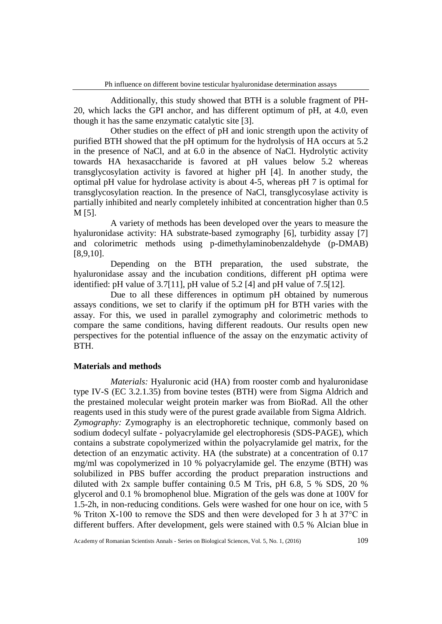Additionally, this study showed that BTH is a soluble fragment of PH-20, which lacks the GPI anchor, and has different optimum of pH, at 4.0, even though it has the same enzymatic catalytic site [3].

Other studies on the effect of pH and ionic strength upon the activity of purified BTH showed that the pH optimum for the hydrolysis of HA occurs at 5.2 in the presence of NaCl, and at 6.0 in the absence of NaCl. Hydrolytic activity towards HA hexasaccharide is favored at pH values below 5.2 whereas transglycosylation activity is favored at higher pH [4]. In another study, the optimal pH value for hydrolase activity is about 4-5, whereas pH 7 is optimal for transglycosylation reaction. In the presence of NaCl, transglycosylase activity is partially inhibited and nearly completely inhibited at concentration higher than 0.5 M [5].

A variety of methods has been developed over the years to measure the hyaluronidase activity: HA substrate-based zymography [6], turbidity assay [7] and colorimetric methods using p-dimethylaminobenzaldehyde (p-DMAB) [8,9,10].

Depending on the BTH preparation, the used substrate, the hyaluronidase assay and the incubation conditions, different pH optima were identified: pH value of 3.7[11], pH value of 5.2 [4] and pH value of 7.5[12].

Due to all these differences in optimum pH obtained by numerous assays conditions, we set to clarify if the optimum pH for BTH varies with the assay. For this, we used in parallel zymography and colorimetric methods to compare the same conditions, having different readouts. Our results open new perspectives for the potential influence of the assay on the enzymatic activity of BTH.

## **Materials and methods**

*Materials:* Hyaluronic acid (HA) from rooster comb and hyaluronidase type IV-S (EC 3.2.1.35) from bovine testes (BTH) were from Sigma Aldrich and the prestained molecular weight protein marker was from BioRad. All the other reagents used in this study were of the purest grade available from Sigma Aldrich. *Zymography:* Zymography is an electrophoretic technique, commonly based on sodium dodecyl sulfate - polyacrylamide gel electrophoresis (SDS-PAGE), which contains a substrate copolymerized within the polyacrylamide gel matrix, for the detection of an enzymatic activity. HA (the substrate) at a concentration of 0.17 mg/ml was copolymerized in 10 % polyacrylamide gel. The enzyme (BTH) was solubilized in PBS buffer according the product preparation instructions and diluted with 2x sample buffer containing 0.5 M Tris, pH 6.8, 5 % SDS, 20 % glycerol and 0.1 % bromophenol blue. Migration of the gels was done at 100V for 1.5-2h, in non-reducing conditions. Gels were washed for one hour on ice, with 5 % Triton X-100 to remove the SDS and then were developed for 3 h at 37°C in different buffers. After development, gels were stained with 0.5 % Alcian blue in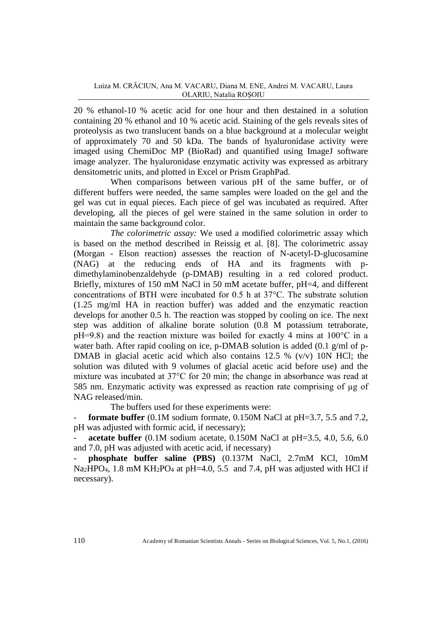20 % ethanol-10 % acetic acid for one hour and then destained in a solution containing 20 % ethanol and 10 % acetic acid. Staining of the gels reveals sites of proteolysis as two translucent bands on a blue background at a molecular weight of approximately 70 and 50 kDa. The bands of hyaluronidase activity were imaged using ChemiDoc MP (BioRad) and quantified using ImageJ software image analyzer. The hyaluronidase enzymatic activity was expressed as arbitrary densitometric units, and plotted in Excel or Prism GraphPad.

When comparisons between various pH of the same buffer, or of different buffers were needed, the same samples were loaded on the gel and the gel was cut in equal pieces. Each piece of gel was incubated as required. After developing, all the pieces of gel were stained in the same solution in order to maintain the same background color.

*The colorimetric assay:* We used a modified colorimetric assay which is based on the method described in Reissig et al. [8]. The colorimetric assay (Morgan - Elson reaction) assesses the reaction of N-acetyl-D-glucosamine (NAG) at the reducing ends of HA and its fragments with pdimethylaminobenzaldehyde (p-DMAB) resulting in a red colored product. Briefly, mixtures of 150 mM NaCl in 50 mM acetate buffer, pH=4, and different concentrations of BTH were incubated for 0.5 h at 37°C. The substrate solution (1.25 mg/ml HA in reaction buffer) was added and the enzymatic reaction develops for another 0.5 h. The reaction was stopped by cooling on ice. The next step was addition of alkaline borate solution (0.8 M potassium tetraborate, pH=9.8) and the reaction mixture was boiled for exactly 4 mins at 100°C in a water bath. After rapid cooling on ice, p-DMAB solution is added (0.1 g/ml of p-DMAB in glacial acetic acid which also contains  $12.5 \%$  (v/v) 10N HCl; the solution was diluted with 9 volumes of glacial acetic acid before use) and the mixture was incubated at 37°C for 20 min; the change in absorbance was read at 585 nm. Enzymatic activity was expressed as reaction rate comprising of µg of NAG released/min.

The buffers used for these experiments were:

**formate buffer** (0.1M sodium formate, 0.150M NaCl at  $pH=3.7$ , 5.5 and 7.2, pH was adjusted with formic acid, if necessary);

**acetate buffer** (0.1M sodium acetate, 0.150M NaCl at pH=3.5, 4.0, 5.6, 6.0 and 7.0, pH was adjusted with acetic acid, if necessary)

- **phosphate buffer saline (PBS)** (0.137M NaCl, 2.7mM KCl, 10mM Na<sub>2</sub>HPO<sub>4</sub>, 1.8 mM KH<sub>2</sub>PO<sub>4</sub> at pH=4.0, 5.5 and 7.4, pH was adjusted with HCl if necessary).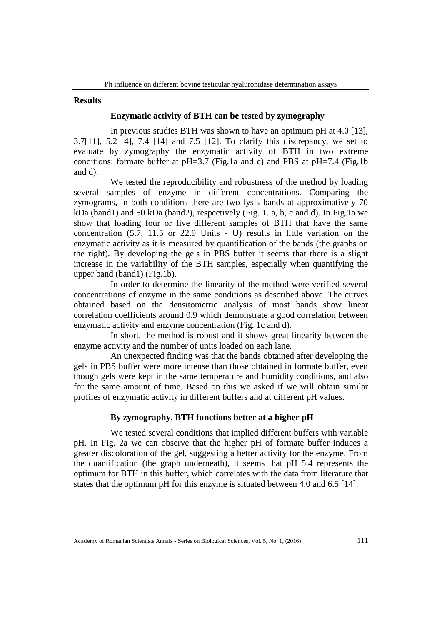#### **Results**

#### **Enzymatic activity of BTH can be tested by zymography**

In previous studies BTH was shown to have an optimum pH at 4.0 [13], 3.7[11], 5.2 [4], 7.4 [14] and 7.5 [12]. To clarify this discrepancy, we set to evaluate by zymography the enzymatic activity of BTH in two extreme conditions: formate buffer at pH=3.7 (Fig.1a and c) and PBS at pH=7.4 (Fig.1b and d).

We tested the reproducibility and robustness of the method by loading several samples of enzyme in different concentrations. Comparing the zymograms, in both conditions there are two lysis bands at approximatively 70 kDa (band1) and 50 kDa (band2), respectively (Fig. 1. a, b, c and d). In Fig.1a we show that loading four or five different samples of BTH that have the same concentration (5.7, 11.5 or 22.9 Units - U) results in little variation on the enzymatic activity as it is measured by quantification of the bands (the graphs on the right). By developing the gels in PBS buffer it seems that there is a slight increase in the variability of the BTH samples, especially when quantifying the upper band (band1) (Fig.1b).

In order to determine the linearity of the method were verified several concentrations of enzyme in the same conditions as described above. The curves obtained based on the densitometric analysis of most bands show linear correlation coefficients around 0.9 which demonstrate a good correlation between enzymatic activity and enzyme concentration (Fig. 1c and d).

In short, the method is robust and it shows great linearity between the enzyme activity and the number of units loaded on each lane.

An unexpected finding was that the bands obtained after developing the gels in PBS buffer were more intense than those obtained in formate buffer, even though gels were kept in the same temperature and humidity conditions, and also for the same amount of time. Based on this we asked if we will obtain similar profiles of enzymatic activity in different buffers and at different pH values.

#### **By zymography, BTH functions better at a higher pH**

We tested several conditions that implied different buffers with variable pH. In Fig. 2a we can observe that the higher pH of formate buffer induces a greater discoloration of the gel, suggesting a better activity for the enzyme. From the quantification (the graph underneath), it seems that pH 5.4 represents the optimum for BTH in this buffer, which correlates with the data from literature that states that the optimum pH for this enzyme is situated between 4.0 and 6.5 [14].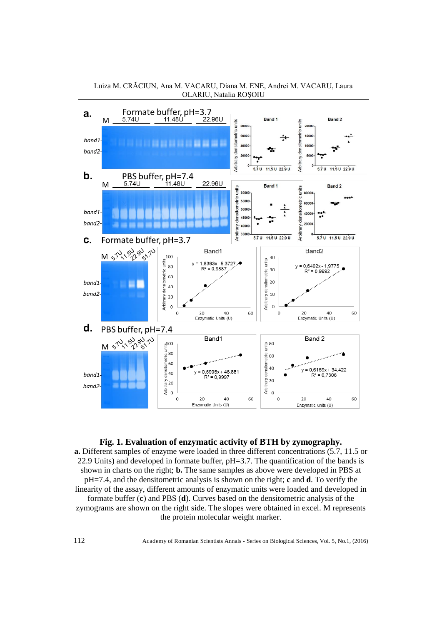

Luiza M. CRĂCIUN, Ana M. VACARU, Diana M. ENE, Andrei M. VACARU, Laura OLARIU, Natalia ROŞOIU

**Fig. 1. Evaluation of enzymatic activity of BTH by zymography. a.** Different samples of enzyme were loaded in three different concentrations (5.7, 11.5 or 22.9 Units) and developed in formate buffer, pH=3.7. The quantification of the bands is shown in charts on the right; **b.** The same samples as above were developed in PBS at pH=7.4, and the densitometric analysis is shown on the right; **c** and **d**. To verify the linearity of the assay, different amounts of enzymatic units were loaded and developed in formate buffer (**c**) and PBS (**d**). Curves based on the densitometric analysis of the zymograms are shown on the right side. The slopes were obtained in excel. M represents the protein molecular weight marker.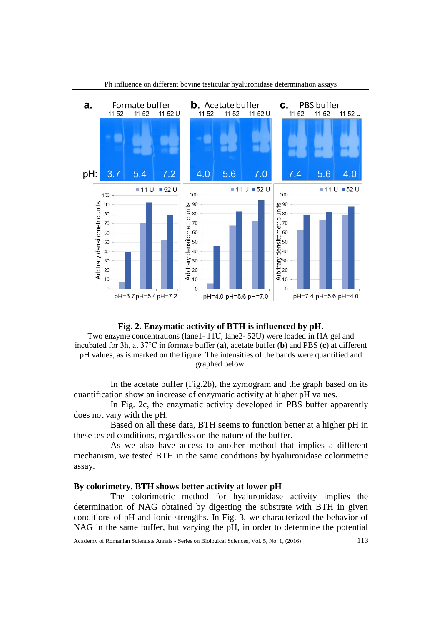

## Ph influence on different bovine testicular hyaluronidase determination assays

#### **Fig. 2. Enzymatic activity of BTH is influenced by pH.**

Two enzyme concentrations (lane1- 11U, lane2- 52U) were loaded in HA gel and incubated for 3h, at 37°C in formate buffer (**a**), acetate buffer (**b**) and PBS (**c**) at different pH values, as is marked on the figure. The intensities of the bands were quantified and graphed below.

In the acetate buffer (Fig.2b), the zymogram and the graph based on its quantification show an increase of enzymatic activity at higher pH values.

In Fig. 2c, the enzymatic activity developed in PBS buffer apparently does not vary with the pH.

Based on all these data, BTH seems to function better at a higher pH in these tested conditions, regardless on the nature of the buffer.

As we also have access to another method that implies a different mechanism, we tested BTH in the same conditions by hyaluronidase colorimetric assay.

#### **By colorimetry, BTH shows better activity at lower pH**

The colorimetric method for hyaluronidase activity implies the determination of NAG obtained by digesting the substrate with BTH in given conditions of pH and ionic strengths. In Fig. 3, we characterized the behavior of NAG in the same buffer, but varying the pH, in order to determine the potential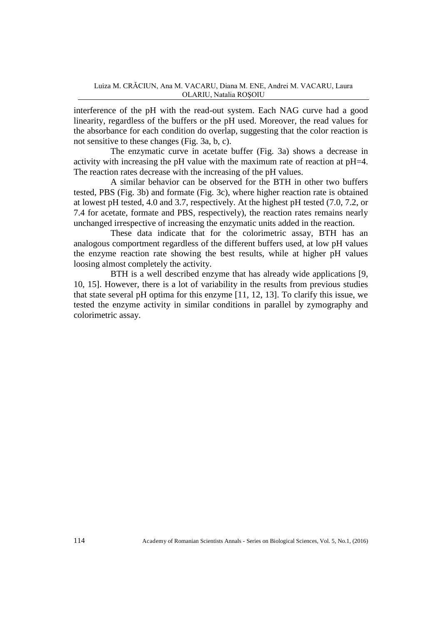interference of the pH with the read-out system. Each NAG curve had a good linearity, regardless of the buffers or the pH used. Moreover, the read values for the absorbance for each condition do overlap, suggesting that the color reaction is not sensitive to these changes (Fig. 3a, b, c).

The enzymatic curve in acetate buffer (Fig. 3a) shows a decrease in activity with increasing the pH value with the maximum rate of reaction at pH=4. The reaction rates decrease with the increasing of the pH values.

A similar behavior can be observed for the BTH in other two buffers tested, PBS (Fig. 3b) and formate (Fig. 3c), where higher reaction rate is obtained at lowest pH tested, 4.0 and 3.7, respectively. At the highest pH tested (7.0, 7.2, or 7.4 for acetate, formate and PBS, respectively), the reaction rates remains nearly unchanged irrespective of increasing the enzymatic units added in the reaction.

These data indicate that for the colorimetric assay, BTH has an analogous comportment regardless of the different buffers used, at low pH values the enzyme reaction rate showing the best results, while at higher pH values loosing almost completely the activity.

BTH is a well described enzyme that has already wide applications [9, 10, 15]. However, there is a lot of variability in the results from previous studies that state several pH optima for this enzyme [11, 12, 13]. To clarify this issue, we tested the enzyme activity in similar conditions in parallel by zymography and colorimetric assay.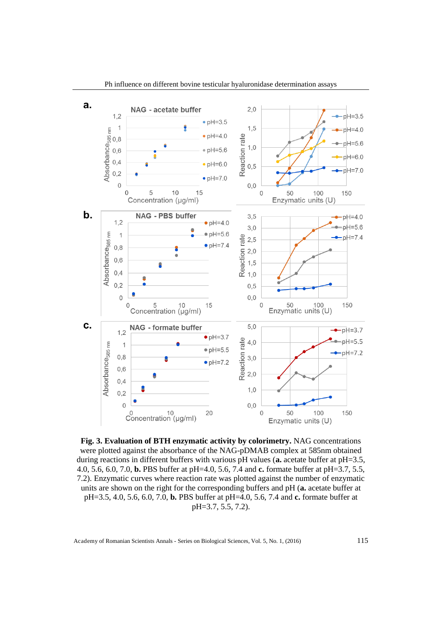

**Fig. 3. Evaluation of BTH enzymatic activity by colorimetry.** NAG concentrations were plotted against the absorbance of the NAG-pDMAB complex at 585nm obtained during reactions in different buffers with various pH values (**a.** acetate buffer at pH=3.5, 4.0, 5.6, 6.0, 7.0, **b.** PBS buffer at pH=4.0, 5.6, 7.4 and **c.** formate buffer at pH=3.7, 5.5, 7.2). Enzymatic curves where reaction rate was plotted against the number of enzymatic units are shown on the right for the corresponding buffers and pH (**a.** acetate buffer at pH=3.5, 4.0, 5.6, 6.0, 7.0, **b.** PBS buffer at pH=4.0, 5.6, 7.4 and **c.** formate buffer at pH=3.7, 5.5, 7.2).

Academy of Romanian Scientists Annals - Series on Biological Sciences, Vol. 5, No. 1, (2016) 115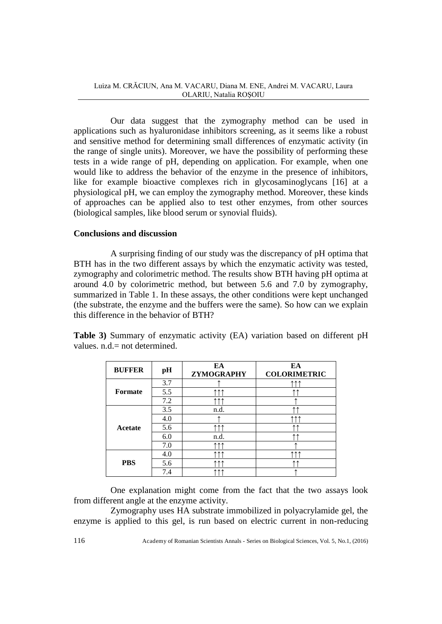Luiza M. CRĂCIUN, Ana M. VACARU, Diana M. ENE, Andrei M. VACARU, Laura OLARIU, Natalia ROŞOIU

Our data suggest that the zymography method can be used in applications such as hyaluronidase inhibitors screening, as it seems like a robust and sensitive method for determining small differences of enzymatic activity (in the range of single units). Moreover, we have the possibility of performing these tests in a wide range of pH, depending on application. For example, when one would like to address the behavior of the enzyme in the presence of inhibitors, like for example bioactive complexes rich in glycosaminoglycans [16] at a physiological pH, we can employ the zymography method. Moreover, these kinds of approaches can be applied also to test other enzymes, from other sources (biological samples, like blood serum or synovial fluids).

#### **Conclusions and discussion**

A surprising finding of our study was the discrepancy of pH optima that BTH has in the two different assays by which the enzymatic activity was tested, zymography and colorimetric method. The results show BTH having pH optima at around 4.0 by colorimetric method, but between 5.6 and 7.0 by zymography, summarized in Table 1. In these assays, the other conditions were kept unchanged (the substrate, the enzyme and the buffers were the same). So how can we explain this difference in the behavior of BTH?

**Table 3)** Summary of enzymatic activity (EA) variation based on different pH values. n.d.= not determined.

| <b>BUFFER</b>  | pH  | EA<br>ZYMOGRAPHY | EA<br><b>COLORIMETRIC</b> |
|----------------|-----|------------------|---------------------------|
| <b>Formate</b> | 3.7 |                  |                           |
|                | 5.5 |                  |                           |
|                | 7.2 |                  |                           |
| Acetate        | 3.5 | n.d.             |                           |
|                | 4.0 |                  |                           |
|                | 5.6 |                  |                           |
|                | 6.0 | n.d.             |                           |
|                | 7.0 |                  |                           |
| <b>PBS</b>     | 4.0 |                  |                           |
|                | 5.6 |                  |                           |
|                | 7.4 |                  |                           |

One explanation might come from the fact that the two assays look from different angle at the enzyme activity.

Zymography uses HA substrate immobilized in polyacrylamide gel, the enzyme is applied to this gel, is run based on electric current in non-reducing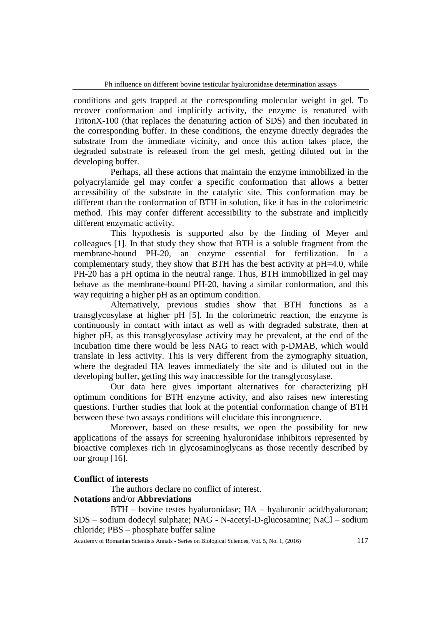conditions and gets trapped at the corresponding molecular weight in gel. To recover conformation and implicitly activity, the enzyme is renatured with TritonX-100 (that replaces the denaturing action of SDS) and then incubated in the corresponding buffer. In these conditions, the enzyme directly degrades the substrate from the immediate vicinity, and once this action takes place, the degraded substrate is released from the gel mesh, getting diluted out in the developing buffer.

Perhaps, all these actions that maintain the enzyme immobilized in the polyacrylamide gel may confer a specific conformation that allows a better accessibility of the substrate in the catalytic site. This conformation may be different than the conformation of BTH in solution, like it has in the colorimetric method. This may confer different accessibility to the substrate and implicitly different enzymatic activity.

This hypothesis is supported also by the finding of Meyer and colleagues [1]. In that study they show that BTH is a soluble fragment from the membrane-bound PH-20, an enzyme essential for fertilization. In a complementary study, they show that BTH has the best activity at pH=4.0, while PH-20 has a pH optima in the neutral range. Thus, BTH immobilized in gel may behave as the membrane-bound PH-20, having a similar conformation, and this way requiring a higher pH as an optimum condition.

Alternatively, previous studies show that BTH functions as a transglycosylase at higher pH [5]. In the colorimetric reaction, the enzyme is continuously in contact with intact as well as with degraded substrate, then at higher pH, as this transglycosylase activity may be prevalent, at the end of the incubation time there would be less NAG to react with p-DMAB, which would translate in less activity. This is very different from the zymography situation, where the degraded HA leaves immediately the site and is diluted out in the developing buffer, getting this way inaccessible for the transglycosylase.

Our data here gives important alternatives for characterizing pH optimum conditions for BTH enzyme activity, and also raises new interesting questions. Further studies that look at the potential conformation change of BTH between these two assays conditions will elucidate this incongruence.

Moreover, based on these results, we open the possibility for new applications of the assays for screening hyaluronidase inhibitors represented by bioactive complexes rich in glycosaminoglycans as those recently described by our group [16].

## **Conflict of interests**

The authors declare no conflict of interest.

## **Notations** and/or **Abbreviations**

BTH – bovine testes hyaluronidase; HA – hyaluronic acid/hyaluronan; SDS – sodium dodecyl sulphate; NAG - N-acetyl-D-glucosamine; NaCl – sodium chloride; PBS – phosphate buffer saline

Academy of Romanian Scientists Annals - Series on Biological Sciences, Vol. 5, No. 1, (2016) 117